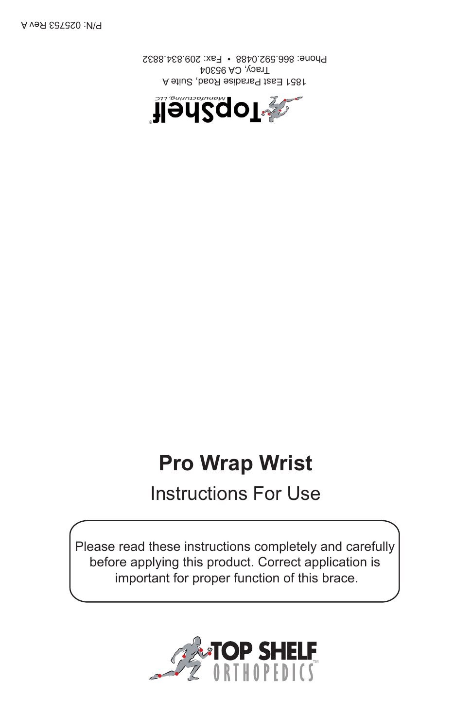

Please read these instructions completely and carefully before applying this product. Correct application is important for proper function of this brace.

# Instructions For Use

## **Pro Wrap Wrist**



1851 East Paradise Road, Suite A Tracy, CA 95304 Phone: 866.592.0488 • Fax: 209.834.8832